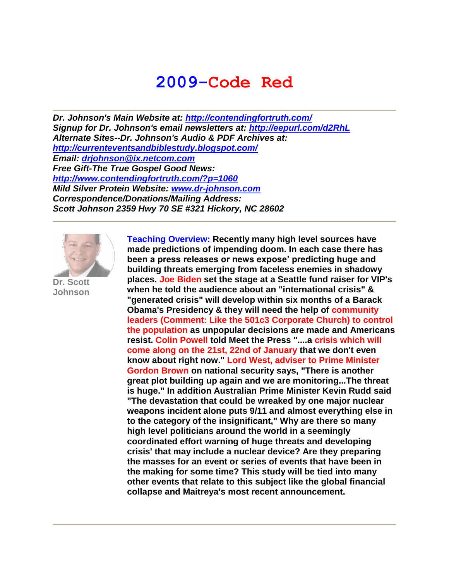# **2009-Code Red**

*Dr. Johnson's Main Website at:<http://contendingfortruth.com/> Signup for Dr. Johnson's email newsletters at:<http://eepurl.com/d2RhL> Alternate Sites--Dr. Johnson's Audio & PDF Archives at: <http://currenteventsandbiblestudy.blogspot.com/> Email: [drjohnson@ix.netcom.com](mailto:drjohnson@ix.netcom.com) Free Gift-The True Gospel Good News: <http://www.contendingfortruth.com/?p=1060> Mild Silver Protein Website: [www.dr-johnson.com](http://www.dr-johnson.com/) Correspondence/Donations/Mailing Address: Scott Johnson 2359 Hwy 70 SE #321 Hickory, NC 28602*



**Dr. Scott Johnson**

**Teaching Overview: Recently many high level sources have made predictions of impending doom. In each case there has been a press releases or news expose' predicting huge and building threats emerging from faceless enemies in shadowy places. Joe Biden set the stage at a Seattle fund raiser for VIP's when he told the audience about an "international crisis" & "generated crisis" will develop within six months of a Barack Obama's Presidency & they will need the help of community leaders (Comment: Like the 501c3 Corporate Church) to control the population as unpopular decisions are made and Americans resist. Colin Powell told Meet the Press "....a crisis which will come along on the 21st, 22nd of January that we don't even know about right now." Lord West, adviser to Prime Minister Gordon Brown on national security says, "There is another great plot building up again and we are monitoring...The threat is huge." In addition Australian Prime Minister Kevin Rudd said "The devastation that could be wreaked by one major nuclear weapons incident alone puts 9/11 and almost everything else in to the category of the insignificant," Why are there so many high level politicians around the world in a seemingly coordinated effort warning of huge threats and developing crisis' that may include a nuclear device? Are they preparing the masses for an event or series of events that have been in the making for some time? This study will be tied into many other events that relate to this subject like the global financial collapse and Maitreya's most recent announcement.**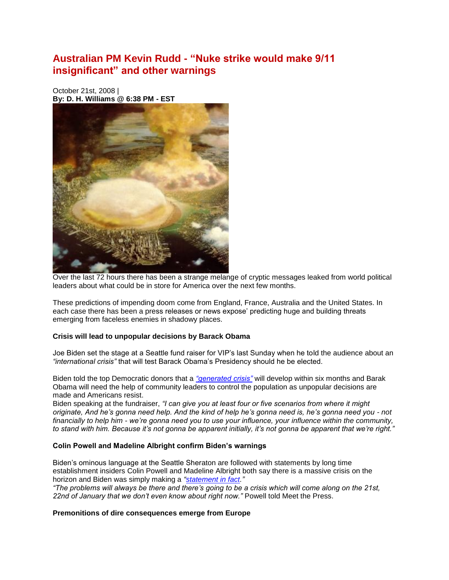### **Australian PM Kevin Rudd - "Nuke strike would make 9/11 insignificant" and other warnings**

October 21st, 2008 | **By: D. H. Williams @ 6:38 PM - EST**



Over the last 72 hours there has been a strange melange of cryptic messages leaked from world political leaders about what could be in store for America over the next few months.

These predictions of impending doom come from England, France, Australia and the United States. In each case there has been a press releases or news expose' predicting huge and building threats emerging from faceless enemies in shadowy places.

#### **Crisis will lead to unpopular decisions by Barack Obama**

Joe Biden set the stage at a Seattle fund raiser for VIP's last Sunday when he told the audience about an *"international crisis"* that will test Barack Obama's Presidency should he be elected.

Biden told the top Democratic donors that a *["generated crisis"](http://www.dailynewscaster.com/2008/10/20/joe-biden-warns-barack-obama-supporters-of-war-and-depression-gird-your-loins/)* will develop within six months and Barak Obama will need the help of community leaders to control the population as unpopular decisions are made and Americans resist.

Biden speaking at the fundraiser, *"I can give you at least four or five scenarios from where it might originate, And he's gonna need help. And the kind of help he's gonna need is, he's gonna need you - not financially to help him - we're gonna need you to use your influence, your influence within the community, to stand with him. Because it's not gonna be apparent initially, it's not gonna be apparent that we're right."*

#### **Colin Powell and Madeline Albright confirm Biden's warnings**

Biden's ominous language at the Seattle Sheraton are followed with statements by long time establishment insiders Colin Powell and Madeline Albright both say there is a massive crisis on the horizon and Biden was simply making a *["statement in fact.](http://www.dailynewscaster.com/2008/10/21/madeline-albright-statement-of-fact-there-will-be-a-generated-crisis/)"* 

*"The problems will always be there and there's going to be a crisis which will come along on the 21st,*  22nd of January that we don't even know about right now." Powell told Meet the Press.

#### **Premonitions of dire consequences emerge from Europe**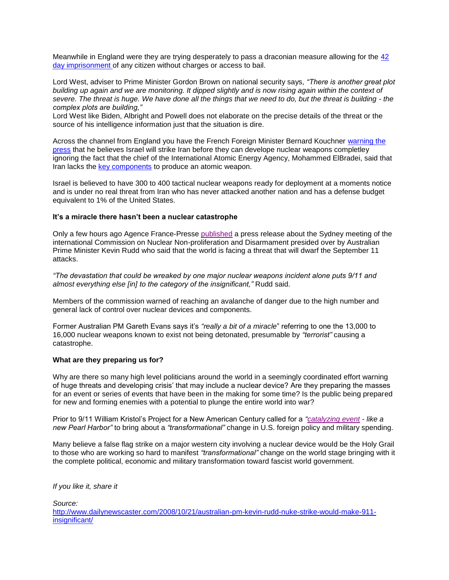Meanwhile in England were they are trying desperately to pass a draconian measure allowing for the [42](http://www.dailynewscaster.com/2008/10/14/uks-plan-to-allow-arbitrary-42-day-imprisonment-of-citizens-sidetracked-but-not-dead/)  [day imprisonment o](http://www.dailynewscaster.com/2008/10/14/uks-plan-to-allow-arbitrary-42-day-imprisonment-of-citizens-sidetracked-but-not-dead/)f any citizen without charges or access to bail.

Lord West, adviser to Prime Minister Gordon Brown on national security says, *"There is another great plot building up again and we are monitoring. It dipped slightly and is now rising again within the context of severe. The threat is huge. We have done all the things that we need to do, but the threat is building - the complex plots are building,"*

Lord West like Biden, Albright and Powell does not elaborate on the precise details of the threat or the source of his intelligence information just that the situation is dire.

Across the channel from England you have the French Foreign Minister Bernard Kouchner [warning the](http://afp.google.com/article/ALeqM5hp8APHG_wlGluYf3XuyY8pWSqMwg)  [press](http://afp.google.com/article/ALeqM5hp8APHG_wlGluYf3XuyY8pWSqMwg) that he believes Israel will strike Iran before they can develope nuclear weapons completley ignoring the fact that the chief of the International Atomic Energy Agency, Mohammed ElBradei, said that Iran lacks the [key components](http://www.haaretz.com/hasen/spages/1030167.html) to produce an atomic weapon.

Israel is believed to have 300 to 400 tactical nuclear weapons ready for deployment at a moments notice and is under no real threat from Iran who has never attacked another nation and has a defense budget equivalent to 1% of the United States.

#### **It's a miracle there hasn't been a nuclear catastrophe**

Only a few hours ago Agence France-Presse [published](http://afp.google.com/article/ALeqM5gtW4R5X16sSsWPtKlo-SCugZ42qg) a press release about the Sydney meeting of the international Commission on Nuclear Non-proliferation and Disarmament presided over by Australian Prime Minister Kevin Rudd who said that the world is facing a threat that will dwarf the September 11 attacks.

*"The devastation that could be wreaked by one major nuclear weapons incident alone puts 9/11 and almost everything else [in] to the category of the insignificant,"* Rudd said.

Members of the commission warned of reaching an avalanche of danger due to the high number and general lack of control over nuclear devices and components.

Former Australian PM Gareth Evans says it's *"really a bit of a miracle*" referring to one the 13,000 to 16,000 nuclear weapons known to exist not being detonated, presumable by *"terrorist"* causing a catastrophe.

#### **What are they preparing us for?**

Why are there so many high level politicians around the world in a seemingly coordinated effort warning of huge threats and developing crisis' that may include a nuclear device? Are they preparing the masses for an event or series of events that have been in the making for some time? Is the public being prepared for new and forming enemies with a potential to plunge the entire world into war?

Prior to 9/11 William Kristol's Project for a New American Century called for a *["catalyzing event](http://www.americanfreepress.net/12_24_02/America_Pearl_Harbored/america_pearl_harbored.html) - like a new Pearl Harbor"* to bring about a *"transformational"* change in U.S. foreign policy and military spending.

Many believe a false flag strike on a major western city involving a nuclear device would be the Holy Grail to those who are working so hard to manifest *"transformational"* change on the world stage bringing with it the complete political, economic and military transformation toward fascist world government.

*If you like it, share it*

*Source:*

[http://www.dailynewscaster.com/2008/10/21/australian-pm-kevin-rudd-nuke-strike-would-make-911](http://www.dailynewscaster.com/2008/10/21/australian-pm-kevin-rudd-nuke-strike-would-make-911-insignificant/) [insignificant/](http://www.dailynewscaster.com/2008/10/21/australian-pm-kevin-rudd-nuke-strike-would-make-911-insignificant/)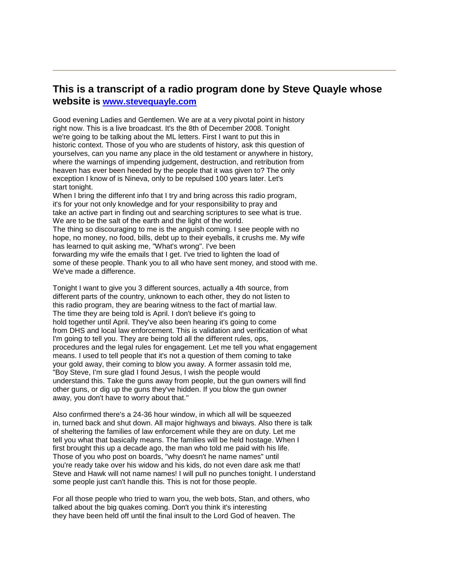#### **This is a transcript of a radio program done by Steve Quayle whose website is [www.stevequayle.com](http://www.stevequayle.com/)**

Good evening Ladies and Gentlemen. We are at a very pivotal point in history right now. This is a live broadcast. It's the 8th of December 2008. Tonight we're going to be talking about the ML letters. First I want to put this in historic context. Those of you who are students of history, ask this question of yourselves, can you name any place in the old testament or anywhere in history, where the warnings of impending judgement, destruction, and retribution from heaven has ever been heeded by the people that it was given to? The only exception I know of is Nineva, only to be repulsed 100 years later. Let's start tonight.

When I bring the different info that I try and bring across this radio program, it's for your not only knowledge and for your responsibility to pray and take an active part in finding out and searching scriptures to see what is true. We are to be the salt of the earth and the light of the world. The thing so discouraging to me is the anguish coming. I see people with no hope, no money, no food, bills, debt up to their eyeballs, it crushs me. My wife has learned to quit asking me, "What's wrong". I've been forwarding my wife the emails that I get. I've tried to lighten the load of some of these people. Thank you to all who have sent money, and stood with me. We've made a difference.

Tonight I want to give you 3 different sources, actually a 4th source, from different parts of the country, unknown to each other, they do not listen to this radio program, they are bearing witness to the fact of martial law. The time they are being told is April. I don't believe it's going to hold together until April. They've also been hearing it's going to come from DHS and local law enforcement. This is validation and verification of what I'm going to tell you. They are being told all the different rules, ops, procedures and the legal rules for engagement. Let me tell you what engagement means. I used to tell people that it's not a question of them coming to take your gold away, their coming to blow you away. A former assasin told me, "Boy Steve, I'm sure glad I found Jesus, I wish the people would understand this. Take the guns away from people, but the gun owners will find other guns, or dig up the guns they've hidden. If you blow the gun owner away, you don't have to worry about that."

Also confirmed there's a 24-36 hour window, in which all will be squeezed in, turned back and shut down. All major highways and biways. Also there is talk of sheltering the families of law enforcement while they are on duty. Let me tell you what that basically means. The families will be held hostage. When I first brought this up a decade ago, the man who told me paid with his life. Those of you who post on boards, "why doesn't he name names" until you're ready take over his widow and his kids, do not even dare ask me that! Steve and Hawk will not name names! I will pull no punches tonight. I understand some people just can't handle this. This is not for those people.

For all those people who tried to warn you, the web bots, Stan, and others, who talked about the big quakes coming. Don't you think it's interesting they have been held off until the final insult to the Lord God of heaven. The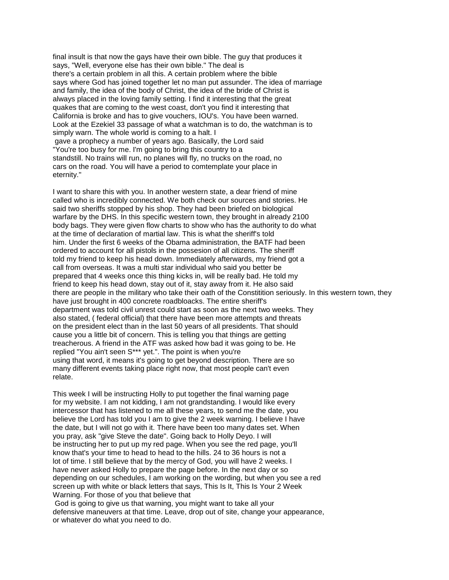final insult is that now the gays have their own bible. The guy that produces it says, "Well, everyone else has their own bible." The deal is there's a certain problem in all this. A certain problem where the bible says where God has joined together let no man put assunder. The idea of marriage and family, the idea of the body of Christ, the idea of the bride of Christ is always placed in the loving family setting. I find it interesting that the great quakes that are coming to the west coast, don't you find it interesting that California is broke and has to give vouchers, IOU's. You have been warned. Look at the Ezekiel 33 passage of what a watchman is to do, the watchman is to simply warn. The whole world is coming to a halt. I gave a prophecy a number of years ago. Basically, the Lord said "You're too busy for me. I'm going to bring this country to a standstill. No trains will run, no planes will fly, no trucks on the road, no cars on the road. You will have a period to comtemplate your place in eternity."

I want to share this with you. In another western state, a dear friend of mine called who is incredibly connected. We both check our sources and stories. He said two sheriffs stopped by his shop. They had been briefed on biological warfare by the DHS. In this specific western town, they brought in already 2100 body bags. They were given flow charts to show who has the authority to do what at the time of declaration of martial law. This is what the sheriff's told him. Under the first 6 weeks of the Obama administration, the BATF had been ordered to account for all pistols in the possesion of all citizens. The sheriff told my friend to keep his head down. Immediately afterwards, my friend got a call from overseas. It was a multi star individual who said you better be prepared that 4 weeks once this thing kicks in, will be really bad. He told my friend to keep his head down, stay out of it, stay away from it. He also said there are people in the military who take their oath of the Constitition seriously. In this western town, they have just brought in 400 concrete roadbloacks. The entire sheriff's department was told civil unrest could start as soon as the next two weeks. They also stated, ( federal official) that there have been more attempts and threats on the president elect than in the last 50 years of all presidents. That should cause you a little bit of concern. This is telling you that things are getting treacherous. A friend in the ATF was asked how bad it was going to be. He replied "You ain't seen S\*\*\* yet.". The point is when you're using that word, it means it's going to get beyond description. There are so many different events taking place right now, that most people can't even relate.

This week I will be instructing Holly to put together the final warning page for my website. I am not kidding, I am not grandstanding. I would like every intercessor that has listened to me all these years, to send me the date, you believe the Lord has told you I am to give the 2 week warning. I believe I have the date, but I will not go with it. There have been too many dates set. When you pray, ask "give Steve the date". Going back to Holly Deyo. I will be instructing her to put up my red page. When you see the red page, you'll know that's your time to head to head to the hills. 24 to 36 hours is not a lot of time. I still believe that by the mercy of God, you will have 2 weeks. I have never asked Holly to prepare the page before. In the next day or so depending on our schedules, I am working on the wording, but when you see a red screen up with white or black letters that says, This Is It, This Is Your 2 Week Warning. For those of you that believe that

God is going to give us that warning, you might want to take all your defensive maneuvers at that time. Leave, drop out of site, change your appearance, or whatever do what you need to do.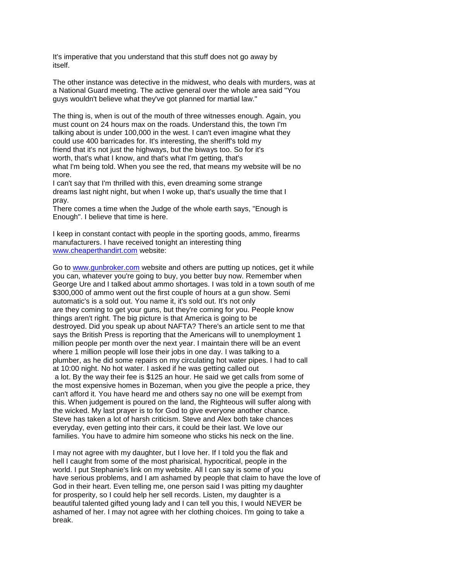It's imperative that you understand that this stuff does not go away by itself.

The other instance was detective in the midwest, who deals with murders, was at a National Guard meeting. The active general over the whole area said "You guys wouldn't believe what they've got planned for martial law."

The thing is, when is out of the mouth of three witnesses enough. Again, you must count on 24 hours max on the roads. Understand this, the town I'm talking about is under 100,000 in the west. I can't even imagine what they could use 400 barricades for. It's interesting, the sheriff's told my friend that it's not just the highways, but the biways too. So for it's worth, that's what I know, and that's what I'm getting, that's what I'm being told. When you see the red, that means my website will be no more.

I can't say that I'm thrilled with this, even dreaming some strange dreams last night night, but when I woke up, that's usually the time that I pray.

There comes a time when the Judge of the whole earth says, "Enough is Enough". I believe that time is here.

I keep in constant contact with people in the sporting goods, ammo, firearms manufacturers. I have received tonight an interesting thing [www.cheaperthandirt.com](http://www.cheaperthandirt.com/) website:

Go to [www.gunbroker.com](http://www.gunbroker.com/) website and others are putting up notices, get it while you can, whatever you're going to buy, you better buy now. Remember when George Ure and I talked about ammo shortages. I was told in a town south of me \$300,000 of ammo went out the first couple of hours at a gun show. Semi automatic's is a sold out. You name it, it's sold out. It's not only are they coming to get your guns, but they're coming for you. People know things aren't right. The big picture is that America is going to be destroyed. Did you speak up about NAFTA? There's an article sent to me that says the British Press is reporting that the Americans will to unemployment 1 million people per month over the next year. I maintain there will be an event where 1 million people will lose their jobs in one day. I was talking to a plumber, as he did some repairs on my circulating hot water pipes. I had to call at 10:00 night. No hot water. I asked if he was getting called out a lot. By the way their fee is \$125 an hour. He said we get calls from some of the most expensive homes in Bozeman, when you give the people a price, they can't afford it. You have heard me and others say no one will be exempt from this. When judgement is poured on the land, the Righteous will suffer along with the wicked. My last prayer is to for God to give everyone another chance. Steve has taken a lot of harsh criticism. Steve and Alex both take chances everyday, even getting into their cars, it could be their last. We love our families. You have to admire him someone who sticks his neck on the line.

I may not agree with my daughter, but I love her. If I told you the flak and hell I caught from some of the most pharisical, hypocritical, people in the world. I put Stephanie's link on my website. All I can say is some of you have serious problems, and I am ashamed by people that claim to have the love of God in their heart. Even telling me, one person said I was pitting my daughter for prosperity, so I could help her sell records. Listen, my daughter is a beautiful talented gifted young lady and I can tell you this, I would NEVER be ashamed of her. I may not agree with her clothing choices. I'm going to take a break.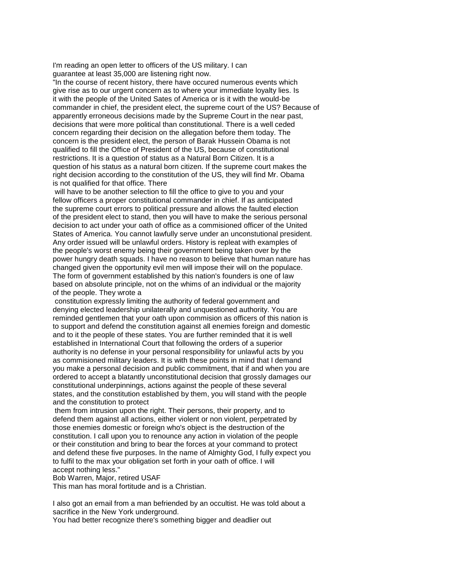I'm reading an open letter to officers of the US military. I can guarantee at least 35,000 are listening right now.

"In the course of recent history, there have occured numerous events which give rise as to our urgent concern as to where your immediate loyalty lies. Is it with the people of the United Sates of America or is it with the would-be commander in chief, the president elect, the supreme court of the US? Because of apparently erroneous decisions made by the Supreme Court in the near past, decisions that were more political than constitutional. There is a well ceded concern regarding their decision on the allegation before them today. The concern is the president elect, the person of Barak Hussein Obama is not qualified to fill the Office of President of the US, because of constitutional restrictions. It is a question of status as a Natural Born Citizen. It is a question of his status as a natural born citizen. If the supreme court makes the right decision according to the constitution of the US, they will find Mr. Obama is not qualified for that office. There

will have to be another selection to fill the office to give to you and your fellow officers a proper constitutional commander in chief. If as anticipated the supreme court errors to political pressure and allows the faulted election of the president elect to stand, then you will have to make the serious personal decision to act under your oath of office as a commisioned officer of the United States of America. You cannot lawfully serve under an unconstutional president. Any order issued will be unlawful orders. History is repleat with examples of the people's worst enemy being their government being taken over by the power hungry death squads. I have no reason to believe that human nature has changed given the opportunity evil men will impose their will on the populace. The form of government established by this nation's founders is one of law based on absolute principle, not on the whims of an individual or the majority of the people. They wrote a

constitution expressly limiting the authority of federal government and denying elected leadership unilaterally and unquestioned authority. You are reminded gentlemen that your oath upon commision as officers of this nation is to support and defend the constitution against all enemies foreign and domestic and to it the people of these states. You are further reminded that it is well established in International Court that following the orders of a superior authority is no defense in your personal responsibility for unlawful acts by you as commisioned military leaders. It is with these points in mind that I demand you make a personal decision and public commitment, that if and when you are ordered to accept a blatantly unconstitutional decision that grossly damages our constitutional underpinnings, actions against the people of these several states, and the constitution established by them, you will stand with the people and the constitution to protect

them from intrusion upon the right. Their persons, their property, and to defend them against all actions, either violent or non violent, perpetrated by those enemies domestic or foreign who's object is the destruction of the constitution. I call upon you to renounce any action in violation of the people or their constitution and bring to bear the forces at your command to protect and defend these five purposes. In the name of Almighty God, I fully expect you to fulfil to the max your obligation set forth in your oath of office. I will accept nothing less."

Bob Warren, Major, retired USAF

This man has moral fortitude and is a Christian.

I also got an email from a man befriended by an occultist. He was told about a sacrifice in the New York underground.

You had better recognize there's something bigger and deadlier out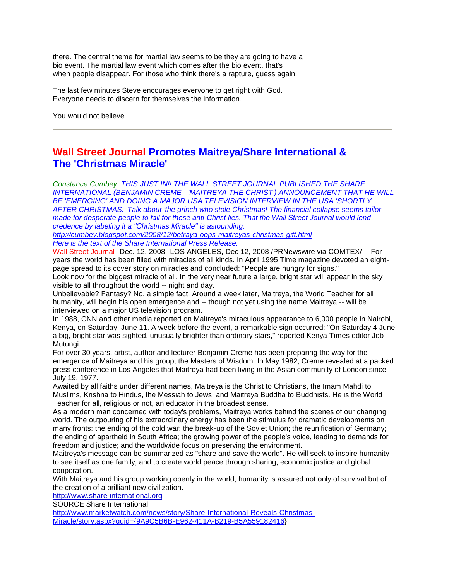there. The central theme for martial law seems to be they are going to have a bio event. The martial law event which comes after the bio event, that's when people disappear. For those who think there's a rapture, quess again.

The last few minutes Steve encourages everyone to get right with God. Everyone needs to discern for themselves the information.

You would not believe

### **Wall Street Journal Promotes Maitreya/Share International & The 'Christmas Miracle'**

*Constance Cumbey: THIS JUST IN!! THE WALL STREET JOURNAL PUBLISHED THE SHARE INTERNATIONAL (BENJAMIN CREME - 'MAITREYA THE CHRIST') ANNOUNCEMENT THAT HE WILL BE 'EMERGING' AND DOING A MAJOR USA TELEVISION INTERVIEW IN THE USA 'SHORTLY AFTER CHRISTMAS.' Talk about 'the grinch who stole Christmas! The financial collapse seems tailor made for desperate people to fall for these anti-Christ lies. That the Wall Street Journal would lend credence by labeling it a "Christmas Miracle" is astounding.*

*<http://cumbey.blogspot.com/2008/12/betraya-oops-maitreyas-christmas-gift.html> Here is the text of the Share International Press Release:*

Wall Street Journal--Dec. 12, 2008--LOS ANGELES, Dec 12, 2008 /PRNewswire via COMTEX/ -- For years the world has been filled with miracles of all kinds. In April 1995 Time magazine devoted an eightpage spread to its cover story on miracles and concluded: "People are hungry for signs."

Look now for the biggest miracle of all. In the very near future a large, bright star will appear in the sky visible to all throughout the world -- night and day.

Unbelievable? Fantasy? No, a simple fact. Around a week later, Maitreya, the World Teacher for all humanity, will begin his open emergence and -- though not yet using the name Maitreya -- will be interviewed on a major US television program.

In 1988, CNN and other media reported on Maitreya's miraculous appearance to 6,000 people in Nairobi, Kenya, on Saturday, June 11. A week before the event, a remarkable sign occurred: "On Saturday 4 June a big, bright star was sighted, unusually brighter than ordinary stars," reported Kenya Times editor Job Mutungi.

For over 30 years, artist, author and lecturer Benjamin Creme has been preparing the way for the emergence of Maitreya and his group, the Masters of Wisdom. In May 1982, Creme revealed at a packed press conference in Los Angeles that Maitreya had been living in the Asian community of London since July 19, 1977.

Awaited by all faiths under different names, Maitreya is the Christ to Christians, the Imam Mahdi to Muslims, Krishna to Hindus, the Messiah to Jews, and Maitreya Buddha to Buddhists. He is the World Teacher for all, religious or not, an educator in the broadest sense.

As a modern man concerned with today's problems, Maitreya works behind the scenes of our changing world. The outpouring of his extraordinary energy has been the stimulus for dramatic developments on many fronts: the ending of the cold war; the break-up of the Soviet Union; the reunification of Germany; the ending of apartheid in South Africa; the growing power of the people's voice, leading to demands for freedom and justice; and the worldwide focus on preserving the environment.

Maitreya's message can be summarized as "share and save the world". He will seek to inspire humanity to see itself as one family, and to create world peace through sharing, economic justice and global cooperation.

With Maitreya and his group working openly in the world, humanity is assured not only of survival but of the creation of a brilliant new civilization.

[http://www.share-international.org](http://www.share-international.org/)

SOURCE Share International

[http://www.marketwatch.com/news/story/Share-International-Reveals-Christmas-](http://www.marketwatch.com/news/story/Share-International-Reveals-Christmas-Miracle/story.aspx?guid=%7b9A9C5B6B-E962-411A-B219-B5A559182416)[Miracle/story.aspx?guid={9A9C5B6B-E962-411A-B219-B5A559182416}](http://www.marketwatch.com/news/story/Share-International-Reveals-Christmas-Miracle/story.aspx?guid=%7b9A9C5B6B-E962-411A-B219-B5A559182416)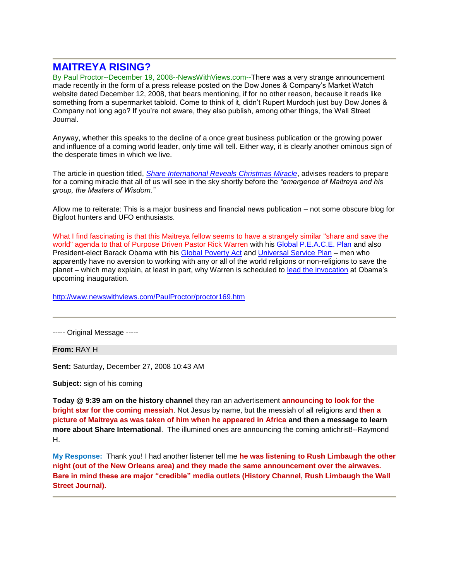#### **MAITREYA RISING?**

By Paul Proctor--December 19, 2008--NewsWithViews.com--There was a very strange announcement made recently in the form of a press release posted on the Dow Jones & Company's Market Watch website dated December 12, 2008, that bears mentioning, if for no other reason, because it reads like something from a supermarket tabloid. Come to think of it, didn't Rupert Murdoch just buy Dow Jones & Company not long ago? If you're not aware, they also publish, among other things, the Wall Street Journal.

Anyway, whether this speaks to the decline of a once great business publication or the growing power and influence of a coming world leader, only time will tell. Either way, it is clearly another ominous sign of the desperate times in which we live.

The article in question titled, *[Share International Reveals Christmas Miracle](http://www.marketwatch.com/news/story/Share-International-Reveals-Christmas-Miracle/story.aspx?guid=%7B9A9C5B6B-E962-411A-B219-B5A559182416%7D)*, advises readers to prepare for a coming miracle that all of us will see in the sky shortly before the *"emergence of Maitreya and his group, the Masters of Wisdom."*

Allow me to reiterate: This is a major business and financial news publication – not some obscure blog for Bigfoot hunters and UFO enthusiasts.

What I find fascinating is that this Maitreya fellow seems to have a strangely similar "share and save the world" agenda to that of Purpose Driven Pastor Rick Warren with his [Global P.E.A.C.E. Plan](http://www.crossroad.to/articles2/05/peace-un-2.htm) and also President-elect Barack Obama with his [Global Poverty Act](http://www.crossroad.to/Quotes/law/global/poverty-act.htm) and [Universal Service Plan](http://www.crossroad.to/articles2/08/1-service.htm) – men who apparently have no aversion to working with any or all of the world religions or non-religions to save the planet – which may explain, at least in part, why Warren is scheduled to [lead the invocation](http://www.cbn.com/CBNnews/503643.aspx) at Obama's upcoming inauguration.

<http://www.newswithviews.com/PaulProctor/proctor169.htm>

----- Original Message -----

**From:** RAY H

**Sent:** Saturday, December 27, 2008 10:43 AM

**Subject:** sign of his coming

**Today @ 9:39 am on the history channel** they ran an advertisement **announcing to look for the bright star for the coming messiah**. Not Jesus by name, but the messiah of all religions and **then a picture of Maitreya as was taken of him when he appeared in Africa and then a message to learn more about Share International**. The illumined ones are announcing the coming antichrist!--Raymond H.

**My Response:** Thank you! I had another listener tell me **he was listening to Rush Limbaugh the other night (out of the New Orleans area) and they made the same announcement over the airwaves. Bare in mind these are major "credible" media outlets (History Channel, Rush Limbaugh the Wall Street Journal).**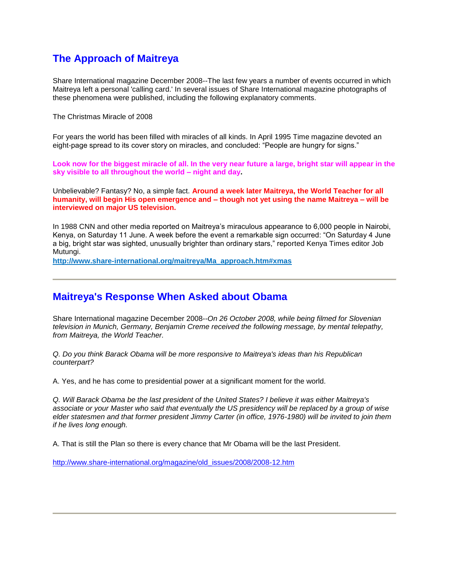#### **The Approach of Maitreya**

Share International magazine December 2008--The last few years a number of events occurred in which Maitreya left a personal 'calling card.' In several issues of Share International magazine photographs of these phenomena were published, including the following explanatory comments.

The Christmas Miracle of 2008

For years the world has been filled with miracles of all kinds. In April 1995 Time magazine devoted an eight-page spread to its cover story on miracles, and concluded: "People are hungry for signs."

**Look now for the biggest miracle of all. In the very near future a large, bright star will appear in the sky visible to all throughout the world – night and day.**

Unbelievable? Fantasy? No, a simple fact. **Around a week later Maitreya, the World Teacher for all humanity, will begin His open emergence and – though not yet using the name Maitreya – will be interviewed on major US television.**

In 1988 CNN and other media reported on Maitreya's miraculous appearance to 6,000 people in Nairobi, Kenya, on Saturday 11 June. A week before the event a remarkable sign occurred: "On Saturday 4 June a big, bright star was sighted, unusually brighter than ordinary stars," reported Kenya Times editor Job Mutungi.

**[http://www.share-international.org/maitreya/Ma\\_approach.htm#xmas](http://www.share-international.org/maitreya/Ma_approach.htm#xmas)**

#### **Maitreya's Response When Asked about Obama**

Share International magazine December 2008--*On 26 October 2008, while being filmed for Slovenian television in Munich, Germany, Benjamin Creme received the following message, by mental telepathy, from Maitreya, the World Teacher.*

*Q. Do you think Barack Obama will be more responsive to Maitreya's ideas than his Republican counterpart?*

A. Yes, and he has come to presidential power at a significant moment for the world.

*Q. Will Barack Obama be the last president of the United States? I believe it was either Maitreya's associate or your Master who said that eventually the US presidency will be replaced by a group of wise elder statesmen and that former president Jimmy Carter (in office, 1976-1980) will be invited to join them if he lives long enough.*

A. That is still the Plan so there is every chance that Mr Obama will be the last President.

[http://www.share-international.org/magazine/old\\_issues/2008/2008-12.htm](http://www.share-international.org/magazine/old_issues/2008/2008-12.htm)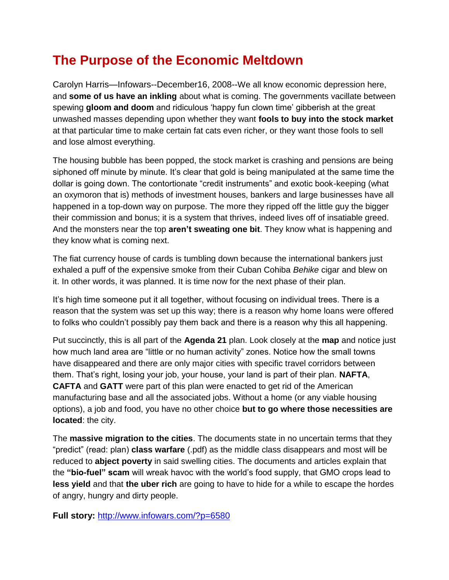## **[The Purpose of the Economic Meltdown](http://www.infowars.com/?p=6580)**

Carolyn Harris—Infowars--December16, 2008--We all know economic depression here, and **[some of us have an inkling](http://www.youtube.com/watch?v=46MEqEgdLTg)** about what is coming. The governments vacillate between spewing **[gloom and doom](http://www.iht.com/articles/2008/12/10/business/10global.php)** and ridiculous 'happy fun clown time' gibberish at the great unwashed masses depending upon whether they want **[fools to buy into the stock market](http://www.washingtonpost.com/wp-dyn/content/article/2008/12/06/AR2008120600134.html)** at that particular time to make certain fat cats even richer, or they want those fools to sell and lose almost everything.

The housing bubble has been popped, the stock market is crashing and pensions are being siphoned off minute by minute. It's clear that gold is being manipulated at the same time the dollar is going down. The contortionate "credit instruments" and exotic book-keeping (what an oxymoron that is) methods of investment houses, bankers and large businesses have all happened in a top-down way on purpose. The more they ripped off the little guy the bigger their commission and bonus; it is a system that thrives, indeed lives off of insatiable greed. And the monsters near the top **aren't [sweating one bit](http://www.washingtonpost.com/wp-dyn/content/article/2008/12/14/AR2008121402670.html)**. They know what is happening and they know what is coming next.

The fiat currency house of cards is tumbling down because the international bankers just exhaled a puff of the expensive smoke from their Cuban Cohiba *Behike* cigar and blew on it. In other words, it was planned. It is time now for the next phase of their plan.

It's high time someone put it all together, without focusing on individual trees. There is a reason that the system was set up this way; there is a reason why home loans were offered to folks who couldn't possibly pay them back and there is a reason why this all happening.

Put succinctly, this is all part of the **[Agenda 21](http://www.un.org/esa/agenda21/natlinfo/countr/usa/natur.htm)** plan. Look closely at the **[map](http://robodoon.com/AGNEDA%2021%20MAP.jpg)** and notice just how much land area are "little or no human activity" zones. Notice how the small towns have disappeared and there are only major cities with specific travel corridors between them. That's right, losing your job, your house, your land is part of their plan. **[NAFTA](http://www.citizen.org/trade/nafta/)**, **[CAFTA](http://www.citizen.org/trade/cafta/)** and **[GATT](http://www.wto.org/english/tratop_e/gatt_e/gatt_e.htm)** were part of this plan were enacted to get rid of the American manufacturing base and all the associated jobs. Without a home (or any viable housing options), a job and food, you have no other choice **but to go [where those necessities are](http://www.leap2020.eu/SEQUENCE-6-Very-Great-Depression-in-the-US,-social-unrest-and-army-s-growing-influence-on-public-affairs-2nd-quarter_a2036.html?PHPSESSID=f96b11acfc2eb2b5a2b7283a7b58d5a6)  [located](http://www.leap2020.eu/SEQUENCE-6-Very-Great-Depression-in-the-US,-social-unrest-and-army-s-growing-influence-on-public-affairs-2nd-quarter_a2036.html?PHPSESSID=f96b11acfc2eb2b5a2b7283a7b58d5a6)**: the city.

The **[massive migration to the cities](http://www.un.org/esa/population/publications/wup2003/WUP2003Report.pdf)**. The documents state in no uncertain terms that they "predict" (read: plan) **[class warfare](http://www.cuttingthroughthematrix.com/articles/strat_trends_23jan07.pdf)** (.pdf) as the middle class disappears and most will be reduced to **[abject poverty](http://www.amerikanexpose.com/agenda21/historicpop07.html)** in said swelling cities. The documents and articles explain that the **["bio-fuel" scam](http://afp.google.com/article/ALeqM5jnrykdFN0nv92dF_OkNy5K1wHFQA)** will wreak havoc with the world's food supply, that GMO crops lead to **[less yield](http://www.mindfully.org/GE/2003/India-GMO-Failure-Shiva31may03.htm)** and that **[the uber rich](http://www.rense.com/general84/dee.htm)** are going to have to hide for a while to escape the hordes of angry, hungry and dirty people.

**Full story:** <http://www.infowars.com/?p=6580>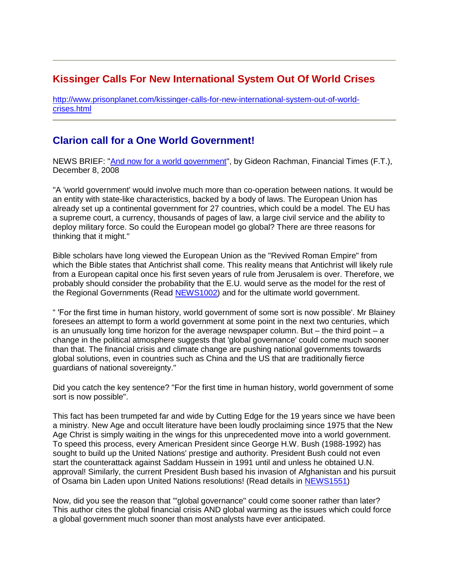### **[Kissinger Calls For New International System Out Of World Crises](http://www.prisonplanet.com/kissinger-calls-for-new-international-system-out-of-world-crises.html)**

[http://www.prisonplanet.com/kissinger-calls-for-new-international-system-out-of-world](http://www.prisonplanet.com/kissinger-calls-for-new-international-system-out-of-world-crises.html)[crises.html](http://www.prisonplanet.com/kissinger-calls-for-new-international-system-out-of-world-crises.html)

### **Clarion call for a One World Government!**

NEWS BRIEF: ["And now for a world government"](http://www.cuttingedge.org/news_updates/nz2280.htm), by Gideon Rachman, Financial Times (F.T.), December 8, 2008

"A 'world government' would involve much more than co-operation between nations. It would be an entity with state-like characteristics, backed by a body of laws. The European Union has already set up a continental government for 27 countries, which could be a model. The EU has a supreme court, a currency, thousands of pages of law, a large civil service and the ability to deploy military force. So could the European model go global? There are three reasons for thinking that it might."

Bible scholars have long viewed the European Union as the "Revived Roman Empire" from which the Bible states that Antichrist shall come. This reality means that Antichrist will likely rule from a European capital once his first seven years of rule from Jerusalem is over. Therefore, we probably should consider the probability that the E.U. would serve as the model for the rest of the Regional Governments (Read [NEWS1002\)](http://cuttingedge.org/news/n1002.html) and for the ultimate world government.

" 'For the first time in human history, world government of some sort is now possible'. Mr Blainey foresees an attempt to form a world government at some point in the next two centuries, which is an unusually long time horizon for the average newspaper column. But  $-$  the third point  $-$  a change in the political atmosphere suggests that 'global governance' could come much sooner than that. The financial crisis and climate change are pushing national governments towards global solutions, even in countries such as China and the US that are traditionally fierce guardians of national sovereignty."

Did you catch the key sentence? "For the first time in human history, world government of some sort is now possible".

This fact has been trumpeted far and wide by Cutting Edge for the 19 years since we have been a ministry. New Age and occult literature have been loudly proclaiming since 1975 that the New Age Christ is simply waiting in the wings for this unprecedented move into a world government. To speed this process, every American President since George H.W. Bush (1988-1992) has sought to build up the United Nations' prestige and authority. President Bush could not even start the counterattack against Saddam Hussein in 1991 until and unless he obtained U.N. approval! Similarly, the current President Bush based his invasion of Afghanistan and his pursuit of Osama bin Laden upon United Nations resolutions! (Read details in [NEWS1551\)](http://cuttingedge.org/news/n1551.cfm)

Now, did you see the reason that "'global governance" could come sooner rather than later? This author cites the global financial crisis AND global warming as the issues which could force a global government much sooner than most analysts have ever anticipated.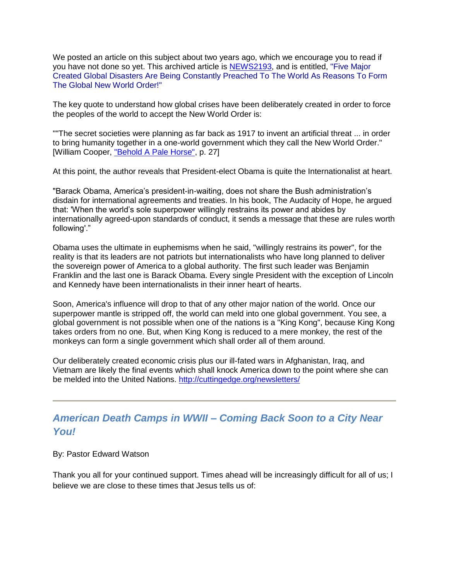We posted an article on this subject about two years ago, which we encourage you to read if you have not done so yet. This archived article is [NEWS2193,](http://cuttingedge.org/news/n2193.cfm) and is entitled, "Five Major Created Global Disasters Are Being Constantly Preached To The World As Reasons To Form The Global New World Order!"

The key quote to understand how global crises have been deliberately created in order to force the peoples of the world to accept the New World Order is:

""The secret societies were planning as far back as 1917 to invent an artificial threat ... in order to bring humanity together in a one-world government which they call the New World Order." [William Cooper, ["Behold A Pale Horse",](http://www.cuttingedge.org/detail.cfm?ID=952) p. 27]

At this point, the author reveals that President-elect Obama is quite the Internationalist at heart.

"Barack Obama, America's president-in-waiting, does not share the Bush administration's disdain for international agreements and treaties. In his book, The Audacity of Hope, he argued that: 'When the world's sole superpower willingly restrains its power and abides by internationally agreed-upon standards of conduct, it sends a message that these are rules worth following'."

Obama uses the ultimate in euphemisms when he said, "willingly restrains its power", for the reality is that its leaders are not patriots but internationalists who have long planned to deliver the sovereign power of America to a global authority. The first such leader was Benjamin Franklin and the last one is Barack Obama. Every single President with the exception of Lincoln and Kennedy have been internationalists in their inner heart of hearts.

Soon, America's influence will drop to that of any other major nation of the world. Once our superpower mantle is stripped off, the world can meld into one global government. You see, a global government is not possible when one of the nations is a "King Kong", because King Kong takes orders from no one. But, when King Kong is reduced to a mere monkey, the rest of the monkeys can form a single government which shall order all of them around.

Our deliberately created economic crisis plus our ill-fated wars in Afghanistan, Iraq, and Vietnam are likely the final events which shall knock America down to the point where she can be melded into the United Nations.<http://cuttingedge.org/newsletters/>

#### *American Death Camps in WWII – Coming Back Soon to a City Near You!*

By: Pastor Edward Watson

Thank you all for your continued support. Times ahead will be increasingly difficult for all of us; I believe we are close to these times that Jesus tells us of: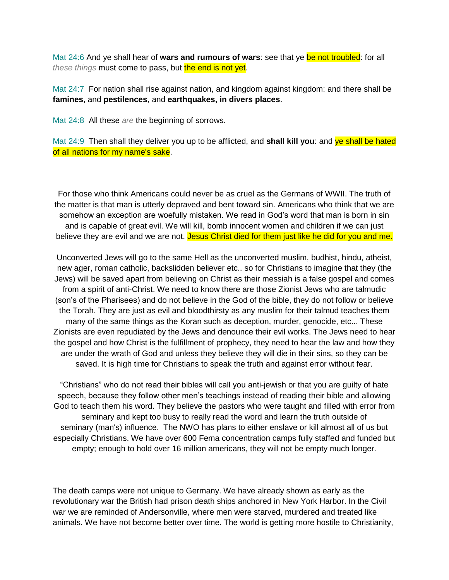Mat 24:6 And ye shall hear of **wars and rumours of wars**: see that ye be not troubled: for all *these things* must come to pass, but the end is not yet.

Mat 24:7 For nation shall rise against nation, and kingdom against kingdom: and there shall be **famines**, and **pestilences**, and **earthquakes, in divers places**.

Mat 24:8 All these *are* the beginning of sorrows.

Mat 24:9 Then shall they deliver you up to be afflicted, and **shall kill you**: and ye shall be hated of all nations for my name's sake.

For those who think Americans could never be as cruel as the Germans of WWII. The truth of the matter is that man is utterly depraved and bent toward sin. Americans who think that we are somehow an exception are woefully mistaken. We read in God's word that man is born in sin and is capable of great evil. We will kill, bomb innocent women and children if we can just believe they are evil and we are not. Jesus Christ died for them just like he did for you and me.

Unconverted Jews will go to the same Hell as the unconverted muslim, budhist, hindu, atheist, new ager, roman catholic, backslidden believer etc.. so for Christians to imagine that they (the Jews) will be saved apart from believing on Christ as their messiah is a false gospel and comes from a spirit of anti-Christ. We need to know there are those Zionist Jews who are talmudic (son's of the Pharisees) and do not believe in the God of the bible, they do not follow or believe the Torah. They are just as evil and bloodthirsty as any muslim for their talmud teaches them many of the same things as the Koran such as deception, murder, genocide, etc... These Zionists are even repudiated by the Jews and denounce their evil works. The Jews need to hear the gospel and how Christ is the fulfillment of prophecy, they need to hear the law and how they are under the wrath of God and unless they believe they will die in their sins, so they can be saved. It is high time for Christians to speak the truth and against error without fear.

"Christians" who do not read their bibles will call you anti-jewish or that you are guilty of hate speech, because they follow other men's teachings instead of reading their bible and allowing God to teach them his word. They believe the pastors who were taught and filled with error from seminary and kept too busy to really read the word and learn the truth outside of seminary (man's) influence. The NWO has plans to either enslave or kill almost all of us but especially Christians. We have over 600 Fema concentration camps fully staffed and funded but empty; enough to hold over 16 million americans, they will not be empty much longer.

The death camps were not unique to Germany. We have already shown as early as the revolutionary war the British had prison death ships anchored in New York Harbor. In the Civil war we are reminded of Andersonville, where men were starved, murdered and treated like animals. We have not become better over time. The world is getting more hostile to Christianity,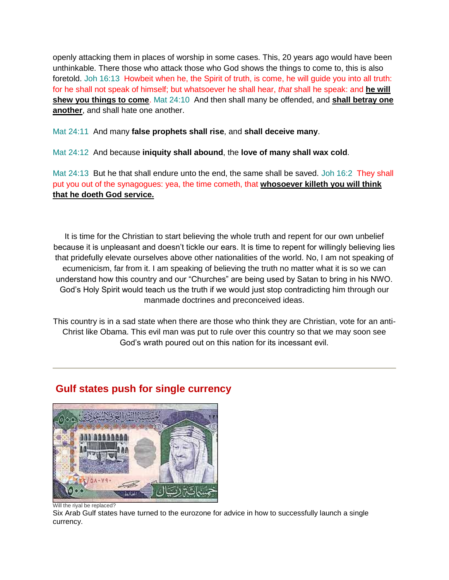openly attacking them in places of worship in some cases. This, 20 years ago would have been unthinkable. There those who attack those who God shows the things to come to, this is also foretold. Joh 16:13 Howbeit when he, the Spirit of truth, is come, he will quide you into all truth: for he shall not speak of himself; but whatsoever he shall hear, *that* shall he speak: and **he will shew you things to come**. Mat 24:10 And then shall many be offended, and **shall betray one another**, and shall hate one another.

Mat 24:11 And many **false prophets shall rise**, and **shall deceive many**.

Mat 24:12 And because **iniquity shall abound**, the **love of many shall wax cold**.

Mat 24:13 But he that shall endure unto the end, the same shall be saved. Joh 16:2 They shall put you out of the synagogues: yea, the time cometh, that **whosoever killeth you will think that he doeth God service.** 

It is time for the Christian to start believing the whole truth and repent for our own unbelief because it is unpleasant and doesn't tickle our ears. It is time to repent for willingly believing lies that pridefully elevate ourselves above other nationalities of the world. No, I am not speaking of ecumenicism, far from it. I am speaking of believing the truth no matter what it is so we can understand how this country and our "Churches" are being used by Satan to bring in his NWO. God's Holy Spirit would teach us the truth if we would just stop contradicting him through our manmade doctrines and preconceived ideas.

This country is in a sad state when there are those who think they are Christian, vote for an anti-Christ like Obama. This evil man was put to rule over this country so that we may soon see God's wrath poured out on this nation for its incessant evil.



### **Gulf states push for single currency**

Six Arab Gulf states have turned to the eurozone for advice in how to successfully launch a single currency.

Will the riyal be replaced?